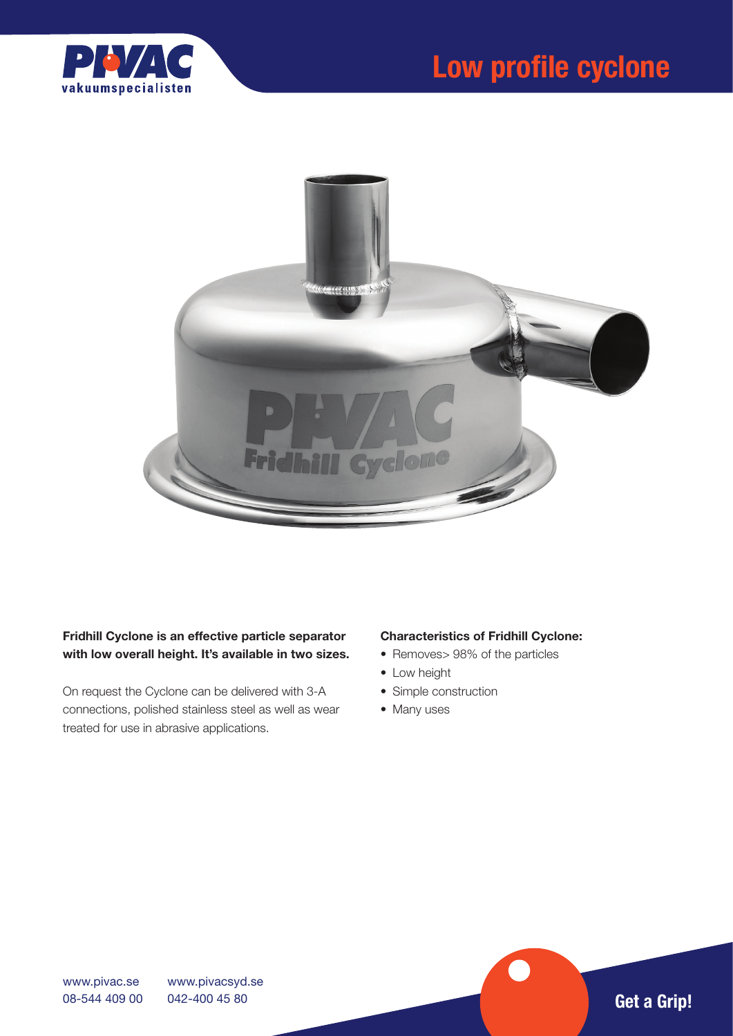



# Fridhill Cyclone is an effective particle separator with low overall height. It's available in two sizes.

On request the Cyclone can be delivered with 3-A connections, polished stainless steel as well as wear treated for use in abrasive applications.

# Characteristics of Fridhill Cyclone:

- Removes> 98% of the particles
- Low height
- Simple construction
- Many uses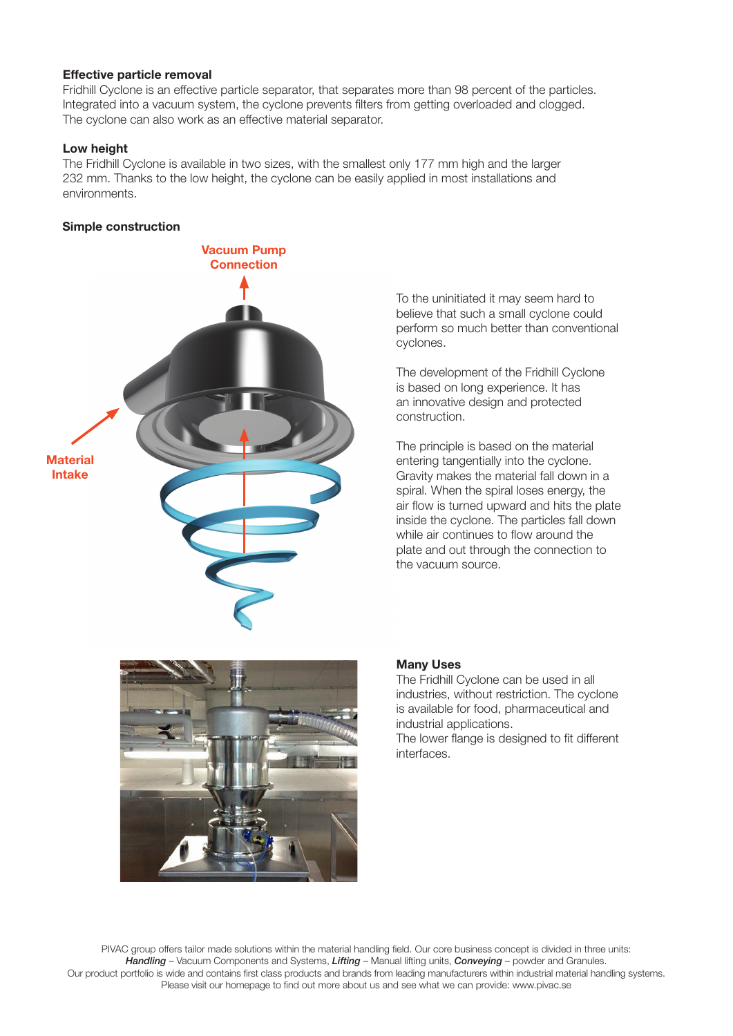### Effective particle removal

Fridhill Cyclone is an effective particle separator, that separates more than 98 percent of the particles. Integrated into a vacuum system, the cyclone prevents filters from getting overloaded and clogged. The cyclone can also work as an effective material separator.

### Low height

The Fridhill Cyclone is available in two sizes, with the smallest only 177 mm high and the larger 232 mm. Thanks to the low height, the cyclone can be easily applied in most installations and environments.

### Simple construction



To the uninitiated it may seem hard to believe that such a small cyclone could perform so much better than conventional cyclones.

The development of the Fridhill Cyclone is based on long experience. It has an innovative design and protected construction.

The principle is based on the material entering tangentially into the cyclone. Gravity makes the material fall down in a spiral. When the spiral loses energy, the air flow is turned upward and hits the plate inside the cyclone. The particles fall down while air continues to flow around the plate and out through the connection to the vacuum source.



#### Many Uses

The Fridhill Cyclone can be used in all industries, without restriction. The cyclone is available for food, pharmaceutical and industrial applications.

The lower flange is designed to fit different interfaces.